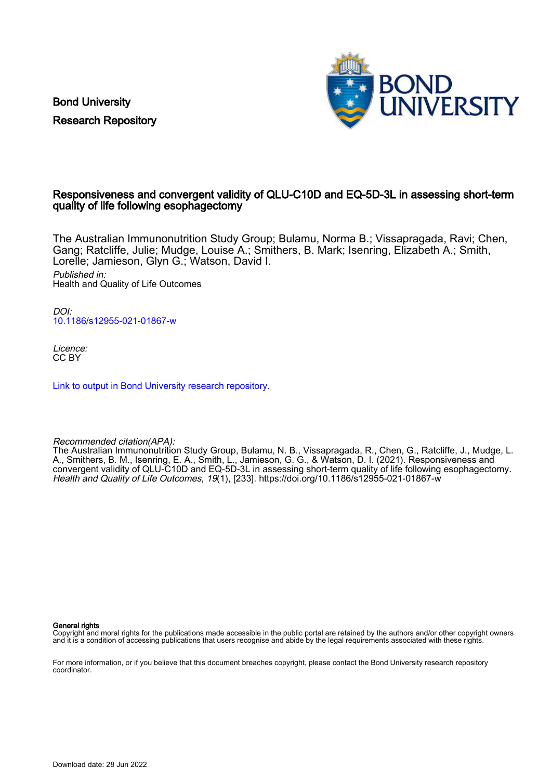Bond University Research Repository



# Responsiveness and convergent validity of QLU-C10D and EQ-5D-3L in assessing short-term quality of life following esophagectomy

The Australian Immunonutrition Study Group; Bulamu, Norma B.; Vissapragada, Ravi; Chen, Gang; Ratcliffe, Julie; Mudge, Louise A.; Smithers, B. Mark; Isenring, Elizabeth A.; Smith, Lorelle; Jamieson, Glyn G.; Watson, David I. Published in:

Health and Quality of Life Outcomes

DOI: [10.1186/s12955-021-01867-w](https://doi.org/10.1186/s12955-021-01867-w)

Licence: CC BY

[Link to output in Bond University research repository.](https://research.bond.edu.au/en/publications/b9d1fe84-c501-4857-a52f-f8f9dccb76ec)

Recommended citation(APA):

The Australian Immunonutrition Study Group, Bulamu, N. B., Vissapragada, R., Chen, G., Ratcliffe, J., Mudge, L. A., Smithers, B. M., Isenring, E. A., Smith, L., Jamieson, G. G., & Watson, D. I. (2021). Responsiveness and convergent validity of QLU-C10D and EQ-5D-3L in assessing short-term quality of life following esophagectomy. Health and Quality of Life Outcomes, 19(1), [233]. <https://doi.org/10.1186/s12955-021-01867-w>

General rights

Copyright and moral rights for the publications made accessible in the public portal are retained by the authors and/or other copyright owners and it is a condition of accessing publications that users recognise and abide by the legal requirements associated with these rights.

For more information, or if you believe that this document breaches copyright, please contact the Bond University research repository coordinator.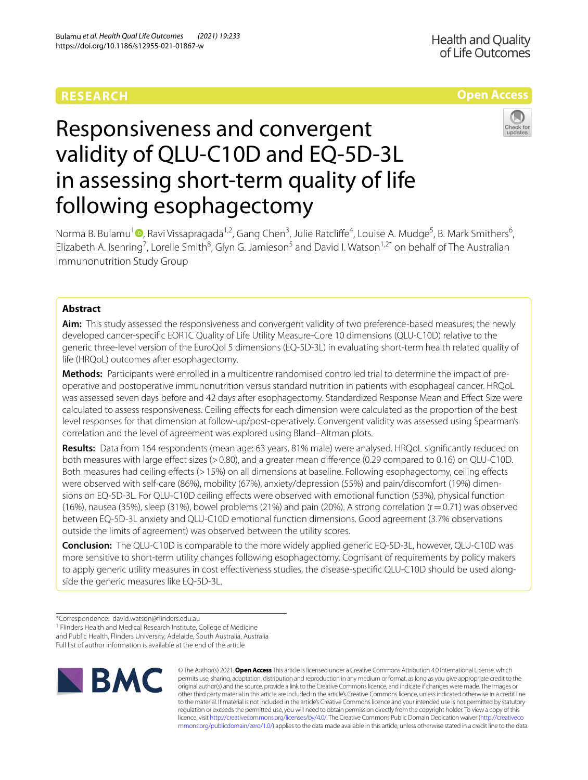# **RESEARCH**

# **Open Access**



# Responsiveness and convergent validity of QLU-C10D and EQ-5D-3L in assessing short-term quality of life following esophagectomy

Norma B. Bulamu<sup>1</sup><sup>®</sup>[,](http://orcid.org/0000-0003-4822-4858) Ravi Vissapragada<sup>1,2</sup>, Gang Chen<sup>3</sup>, Julie Ratcliffe<sup>4</sup>, Louise A. Mudge<sup>5</sup>, B. Mark Smithers<sup>6</sup>, Elizabeth A. Isenring<sup>7</sup>, Lorelle Smith<sup>8</sup>, Glyn G. Jamieson<sup>5</sup> and David I. Watson<sup>1,2\*</sup> on behalf of The Australian Immunonutrition Study Group

# **Abstract**

**Aim:** This study assessed the responsiveness and convergent validity of two preference-based measures; the newly developed cancer-specifc EORTC Quality of Life Utility Measure-Core 10 dimensions (QLU-C10D) relative to the generic three-level version of the EuroQol 5 dimensions (EQ-5D-3L) in evaluating short-term health related quality of life (HRQoL) outcomes after esophagectomy.

**Methods:** Participants were enrolled in a multicentre randomised controlled trial to determine the impact of preoperative and postoperative immunonutrition versus standard nutrition in patients with esophageal cancer. HRQoL was assessed seven days before and 42 days after esophagectomy. Standardized Response Mean and Efect Size were calculated to assess responsiveness. Ceiling efects for each dimension were calculated as the proportion of the best level responses for that dimension at follow-up/post-operatively. Convergent validity was assessed using Spearman's correlation and the level of agreement was explored using Bland–Altman plots.

**Results:** Data from 164 respondents (mean age: 63 years, 81% male) were analysed. HRQoL signifcantly reduced on both measures with large efect sizes (>0.80), and a greater mean diference (0.29 compared to 0.16) on QLU-C10D. Both measures had ceiling efects (>15%) on all dimensions at baseline. Following esophagectomy, ceiling efects were observed with self-care (86%), mobility (67%), anxiety/depression (55%) and pain/discomfort (19%) dimensions on EQ-5D-3L. For QLU-C10D ceiling efects were observed with emotional function (53%), physical function (16%), nausea (35%), sleep (31%), bowel problems (21%) and pain (20%). A strong correlation ( $r=0.71$ ) was observed between EQ-5D-3L anxiety and QLU-C10D emotional function dimensions. Good agreement (3.7% observations outside the limits of agreement) was observed between the utility scores.

**Conclusion:** The QLU-C10D is comparable to the more widely applied generic EQ-5D-3L, however, QLU-C10D was more sensitive to short-term utility changes following esophagectomy. Cognisant of requirements by policy makers to apply generic utility measures in cost effectiveness studies, the disease-specific QLU-C10D should be used alongside the generic measures like EQ-5D-3L.

<sup>&</sup>lt;sup>1</sup> Flinders Health and Medical Research Institute, College of Medicine and Public Health, Flinders University, Adelaide, South Australia, Australia Full list of author information is available at the end of the article



© The Author(s) 2021. **Open Access** This article is licensed under a Creative Commons Attribution 4.0 International License, which permits use, sharing, adaptation, distribution and reproduction in any medium or format, as long as you give appropriate credit to the original author(s) and the source, provide a link to the Creative Commons licence, and indicate if changes were made. The images or other third party material in this article are included in the article's Creative Commons licence, unless indicated otherwise in a credit line to the material. If material is not included in the article's Creative Commons licence and your intended use is not permitted by statutory regulation or exceeds the permitted use, you will need to obtain permission directly from the copyright holder. To view a copy of this licence, visit [http://creativecommons.org/licenses/by/4.0/.](http://creativecommons.org/licenses/by/4.0/) The Creative Commons Public Domain Dedication waiver ([http://creativeco](http://creativecommons.org/publicdomain/zero/1.0/) [mmons.org/publicdomain/zero/1.0/](http://creativecommons.org/publicdomain/zero/1.0/)) applies to the data made available in this article, unless otherwise stated in a credit line to the data.

<sup>\*</sup>Correspondence: david.watson@finders.edu.au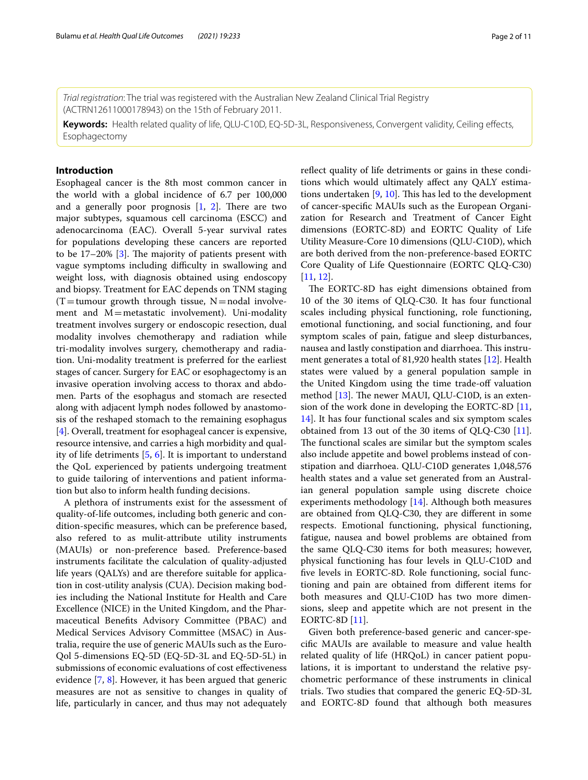*Trial registration*: The trial was registered with the Australian New Zealand Clinical Trial Registry (ACTRN12611000178943) on the 15th of February 2011.

**Keywords:** Health related quality of life, QLU-C10D, EQ-5D-3L, Responsiveness, Convergent validity, Ceiling efects, Esophagectomy

# **Introduction**

Esophageal cancer is the 8th most common cancer in the world with a global incidence of 6.7 per 100,000 and a generally poor prognosis  $[1, 2]$  $[1, 2]$  $[1, 2]$  $[1, 2]$ . There are two major subtypes, squamous cell carcinoma (ESCC) and adenocarcinoma (EAC). Overall 5-year survival rates for populations developing these cancers are reported to be  $17-20\%$  [[3\]](#page-10-2). The majority of patients present with vague symptoms including difficulty in swallowing and weight loss, with diagnosis obtained using endoscopy and biopsy. Treatment for EAC depends on TNM staging  $(T = tumour growth through tissue, N = nodal involve$ ment and M=metastatic involvement). Uni-modality treatment involves surgery or endoscopic resection, dual modality involves chemotherapy and radiation while tri-modality involves surgery, chemotherapy and radiation. Uni-modality treatment is preferred for the earliest stages of cancer. Surgery for EAC or esophagectomy is an invasive operation involving access to thorax and abdomen. Parts of the esophagus and stomach are resected along with adjacent lymph nodes followed by anastomosis of the reshaped stomach to the remaining esophagus [[4\]](#page-10-3). Overall, treatment for esophageal cancer is expensive, resource intensive, and carries a high morbidity and quality of life detriments [[5,](#page-10-4) [6\]](#page-10-5). It is important to understand the QoL experienced by patients undergoing treatment to guide tailoring of interventions and patient information but also to inform health funding decisions.

A plethora of instruments exist for the assessment of quality-of-life outcomes, including both generic and condition-specifc measures, which can be preference based, also refered to as mulit-attribute utility instruments (MAUIs) or non-preference based. Preference-based instruments facilitate the calculation of quality-adjusted life years (QALYs) and are therefore suitable for application in cost-utility analysis (CUA). Decision making bodies including the National Institute for Health and Care Excellence (NICE) in the United Kingdom, and the Pharmaceutical Benefts Advisory Committee (PBAC) and Medical Services Advisory Committee (MSAC) in Australia, require the use of generic MAUIs such as the Euro-Qol 5-dimensions EQ-5D (EQ-5D-3L and EQ-5D-5L) in submissions of economic evaluations of cost efectiveness evidence [[7,](#page-10-6) [8](#page-10-7)]. However, it has been argued that generic measures are not as sensitive to changes in quality of life, particularly in cancer, and thus may not adequately refect quality of life detriments or gains in these conditions which would ultimately afect any QALY estimations undertaken  $[9, 10]$  $[9, 10]$  $[9, 10]$ . This has led to the development of cancer-specifc MAUIs such as the European Organization for Research and Treatment of Cancer Eight dimensions (EORTC-8D) and EORTC Quality of Life Utility Measure-Core 10 dimensions (QLU-C10D), which are both derived from the non-preference-based EORTC Core Quality of Life Questionnaire (EORTC QLQ-C30) [[11,](#page-10-10) [12](#page-10-11)].

The EORTC-8D has eight dimensions obtained from 10 of the 30 items of QLQ-C30. It has four functional scales including physical functioning, role functioning, emotional functioning, and social functioning, and four symptom scales of pain, fatigue and sleep disturbances, nausea and lastly constipation and diarrhoea. This instrument generates a total of 81,920 health states [\[12](#page-10-11)]. Health states were valued by a general population sample in the United Kingdom using the time trade-of valuation method  $[13]$  $[13]$  $[13]$ . The newer MAUI, QLU-C10D, is an extension of the work done in developing the EORTC-8D [[11](#page-10-10), [14\]](#page-11-0). It has four functional scales and six symptom scales obtained from 13 out of the 30 items of QLQ-C30 [\[11](#page-10-10)]. The functional scales are similar but the symptom scales also include appetite and bowel problems instead of constipation and diarrhoea. QLU-C10D generates 1,048,576 health states and a value set generated from an Australian general population sample using discrete choice experiments methodology [\[14](#page-11-0)]. Although both measures are obtained from QLQ-C30, they are diferent in some respects. Emotional functioning, physical functioning, fatigue, nausea and bowel problems are obtained from the same QLQ-C30 items for both measures; however, physical functioning has four levels in QLU-C10D and fve levels in EORTC-8D. Role functioning, social functioning and pain are obtained from diferent items for both measures and QLU-C10D has two more dimensions, sleep and appetite which are not present in the EORTC-8D [[11\]](#page-10-10).

Given both preference-based generic and cancer-specifc MAUIs are available to measure and value health related quality of life (HRQoL) in cancer patient populations, it is important to understand the relative psychometric performance of these instruments in clinical trials. Two studies that compared the generic EQ-5D-3L and EORTC-8D found that although both measures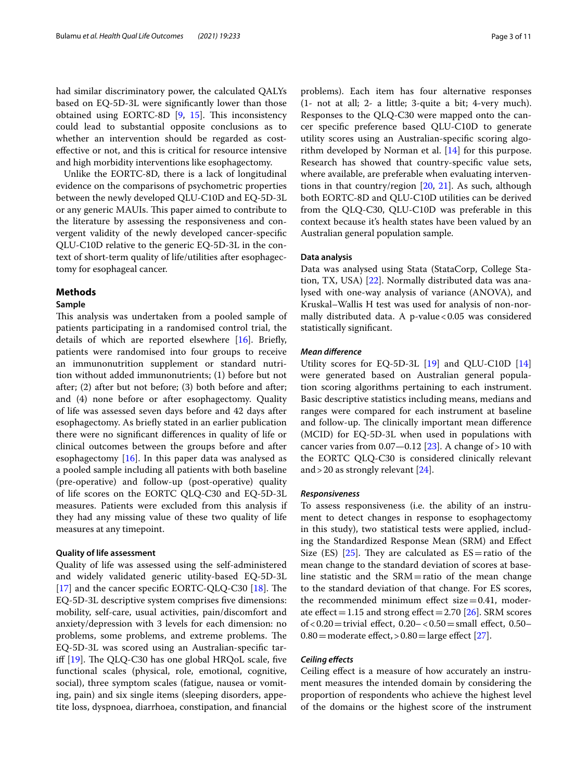had similar discriminatory power, the calculated QALYs based on EQ-5D-3L were signifcantly lower than those obtained using EORTC-8D  $[9, 15]$  $[9, 15]$  $[9, 15]$  $[9, 15]$ . This inconsistency could lead to substantial opposite conclusions as to whether an intervention should be regarded as costefective or not, and this is critical for resource intensive and high morbidity interventions like esophagectomy.

Unlike the EORTC-8D, there is a lack of longitudinal evidence on the comparisons of psychometric properties between the newly developed QLU-C10D and EQ-5D-3L or any generic MAUIs. This paper aimed to contribute to the literature by assessing the responsiveness and convergent validity of the newly developed cancer-specifc QLU-C10D relative to the generic EQ-5D-3L in the context of short-term quality of life/utilities after esophagectomy for esophageal cancer.

# **Methods**

# **Sample**

This analysis was undertaken from a pooled sample of patients participating in a randomised control trial, the details of which are reported elsewhere [\[16](#page-11-2)]. Briefy, patients were randomised into four groups to receive an immunonutrition supplement or standard nutrition without added immunonutrients; (1) before but not after; (2) after but not before; (3) both before and after; and (4) none before or after esophagectomy. Quality of life was assessed seven days before and 42 days after esophagectomy. As briefy stated in an earlier publication there were no signifcant diferences in quality of life or clinical outcomes between the groups before and after esophagectomy [[16\]](#page-11-2). In this paper data was analysed as a pooled sample including all patients with both baseline (pre-operative) and follow-up (post-operative) quality of life scores on the EORTC QLQ-C30 and EQ-5D-3L measures. Patients were excluded from this analysis if they had any missing value of these two quality of life measures at any timepoint.

# **Quality of life assessment**

Quality of life was assessed using the self-administered and widely validated generic utility-based EQ-5D-3L [[17\]](#page-11-3) and the cancer specific EORTC-QLQ-C30  $[18]$  $[18]$ . The EQ-5D-3L descriptive system comprises fve dimensions: mobility, self-care, usual activities, pain/discomfort and anxiety/depression with 3 levels for each dimension: no problems, some problems, and extreme problems. The EQ-5D-3L was scored using an Australian-specifc tariff  $[19]$  $[19]$ . The QLQ-C30 has one global HRQoL scale, five functional scales (physical, role, emotional, cognitive, social), three symptom scales (fatigue, nausea or vomiting, pain) and six single items (sleeping disorders, appetite loss, dyspnoea, diarrhoea, constipation, and fnancial problems). Each item has four alternative responses (1- not at all; 2- a little; 3-quite a bit; 4-very much). Responses to the QLQ-C30 were mapped onto the cancer specifc preference based QLU-C10D to generate utility scores using an Australian-specifc scoring algorithm developed by Norman et al. [\[14](#page-11-0)] for this purpose. Research has showed that country-specifc value sets, where available, are preferable when evaluating interventions in that country/region [[20,](#page-11-6) [21](#page-11-7)]. As such, although both EORTC-8D and QLU-C10D utilities can be derived from the QLQ-C30, QLU-C10D was preferable in this context because it's health states have been valued by an Australian general population sample.

# **Data analysis**

Data was analysed using Stata (StataCorp, College Station, TX, USA) [[22\]](#page-11-8). Normally distributed data was analysed with one-way analysis of variance (ANOVA), and Kruskal–Wallis H test was used for analysis of non-normally distributed data. A p-value  $< 0.05$  was considered statistically signifcant.

# *Mean diference*

Utility scores for EQ-5D-3L [[19](#page-11-5)] and QLU-C10D [[14](#page-11-0)] were generated based on Australian general population scoring algorithms pertaining to each instrument. Basic descriptive statistics including means, medians and ranges were compared for each instrument at baseline and follow-up. The clinically important mean difference (MCID) for EQ-5D-3L when used in populations with cancer varies from  $0.07 - 0.12$  [[23\]](#page-11-9). A change of > 10 with the EORTC QLQ-C30 is considered clinically relevant and  $>$  20 as strongly relevant  $[24]$  $[24]$  $[24]$ .

# *Responsiveness*

To assess responsiveness (i.e. the ability of an instrument to detect changes in response to esophagectomy in this study), two statistical tests were applied, including the Standardized Response Mean (SRM) and Efect Size (ES) [\[25\]](#page-11-11). They are calculated as  $ES = ratio$  of the mean change to the standard deviation of scores at baseline statistic and the  $SRM$ =ratio of the mean change to the standard deviation of that change. For ES scores, the recommended minimum effect size $=0.41$ , moderate effect =  $1.15$  and strong effect =  $2.70$  [ $26$ ]. SRM scores of<0.20=trivial efect, 0.20–<0.50=small efect, 0.50–  $0.80$  = moderate effect, >  $0.80$  = large effect [[27\]](#page-11-13).

# *Ceiling efects*

Ceiling efect is a measure of how accurately an instrument measures the intended domain by considering the proportion of respondents who achieve the highest level of the domains or the highest score of the instrument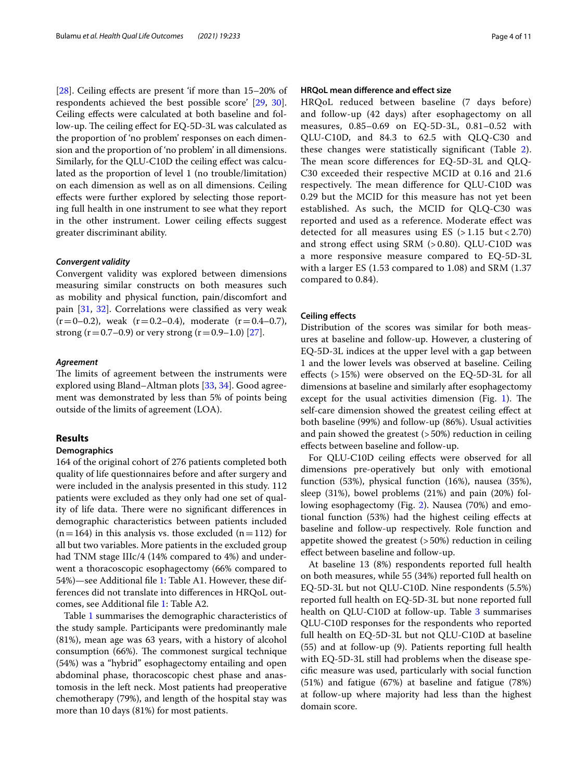[[28\]](#page-11-14). Ceiling efects are present 'if more than 15–20% of respondents achieved the best possible score' [[29,](#page-11-15) [30](#page-11-16)]. Ceiling efects were calculated at both baseline and follow-up. The ceiling effect for EQ-5D-3L was calculated as the proportion of 'no problem' responses on each dimension and the proportion of 'no problem' in all dimensions. Similarly, for the QLU-C10D the ceiling efect was calculated as the proportion of level 1 (no trouble/limitation) on each dimension as well as on all dimensions. Ceiling efects were further explored by selecting those reporting full health in one instrument to see what they report in the other instrument. Lower ceiling efects suggest greater discriminant ability.

# *Convergent validity*

Convergent validity was explored between dimensions measuring similar constructs on both measures such as mobility and physical function, pain/discomfort and pain [[31](#page-11-17), [32](#page-11-18)]. Correlations were classifed as very weak  $(r=0-0.2)$ , weak  $(r=0.2-0.4)$ , moderate  $(r=0.4-0.7)$ , strong (r = 0.7–0.9) or very strong (r = 0.9–1.0) [[27\]](#page-11-13).

# *Agreement*

The limits of agreement between the instruments were explored using Bland–Altman plots [\[33](#page-11-19), [34\]](#page-11-20). Good agreement was demonstrated by less than 5% of points being outside of the limits of agreement (LOA).

# **Results**

# **Demographics**

164 of the original cohort of 276 patients completed both quality of life questionnaires before and after surgery and were included in the analysis presented in this study. 112 patients were excluded as they only had one set of quality of life data. There were no significant differences in demographic characteristics between patients included  $(n=164)$  in this analysis vs. those excluded  $(n=112)$  for all but two variables. More patients in the excluded group had TNM stage IIIc/4 (14% compared to 4%) and underwent a thoracoscopic esophagectomy (66% compared to 54%)—see Additional fle [1](#page-9-0): Table A1. However, these differences did not translate into diferences in HRQoL outcomes, see Additional fle [1](#page-9-0): Table A2.

Table [1](#page-5-0) summarises the demographic characteristics of the study sample. Participants were predominantly male (81%), mean age was 63 years, with a history of alcohol consumption (66%). The commonest surgical technique (54%) was a "hybrid" esophagectomy entailing and open abdominal phase, thoracoscopic chest phase and anastomosis in the left neck. Most patients had preoperative chemotherapy (79%), and length of the hospital stay was more than 10 days (81%) for most patients.

# **HRQoL mean diference and efect size**

HRQoL reduced between baseline (7 days before) and follow-up (42 days) after esophagectomy on all measures, 0.85–0.69 on EQ-5D-3L, 0.81–0.52 with QLU-C10D, and 84.3 to 62.5 with QLQ-C30 and these changes were statistically signifcant (Table [2](#page-6-0)). The mean score differences for EQ-5D-3L and QLQ-C30 exceeded their respective MCID at 0.16 and 21.6 respectively. The mean difference for QLU-C10D was 0.29 but the MCID for this measure has not yet been established. As such, the MCID for QLQ-C30 was reported and used as a reference. Moderate efect was detected for all measures using  $ES$  ( $> 1.15$  but  $< 2.70$ ) and strong efect using SRM (> 0.80). QLU-C10D was a more responsive measure compared to EQ-5D-3L with a larger ES (1.53 compared to 1.08) and SRM (1.37 compared to 0.84).

# **Ceiling efects**

Distribution of the scores was similar for both measures at baseline and follow-up. However, a clustering of EQ-5D-3L indices at the upper level with a gap between 1 and the lower levels was observed at baseline. Ceiling efects (>15%) were observed on the EQ-5D-3L for all dimensions at baseline and similarly after esophagectomy except for the usual activities dimension (Fig.  $1$ ). The self-care dimension showed the greatest ceiling efect at both baseline (99%) and follow-up (86%). Usual activities and pain showed the greatest (>50%) reduction in ceiling efects between baseline and follow-up.

For QLU-C10D ceiling effects were observed for all dimensions pre-operatively but only with emotional function (53%), physical function (16%), nausea (35%), sleep (31%), bowel problems (21%) and pain (20%) following esophagectomy (Fig. [2](#page-7-0)). Nausea (70%) and emotional function (53%) had the highest ceiling efects at baseline and follow-up respectively. Role function and appetite showed the greatest  $(>50%)$  reduction in ceiling efect between baseline and follow-up.

At baseline 13 (8%) respondents reported full health on both measures, while 55 (34%) reported full health on EQ-5D-3L but not QLU-C10D. Nine respondents (5.5%) reported full health on EQ-5D-3L but none reported full health on QLU-C10D at follow-up. Table [3](#page-7-1) summarises QLU-C10D responses for the respondents who reported full health on EQ-5D-3L but not QLU-C10D at baseline (55) and at follow-up (9). Patients reporting full health with EQ-5D-3L still had problems when the disease specifc measure was used, particularly with social function (51%) and fatigue (67%) at baseline and fatigue (78%) at follow-up where majority had less than the highest domain score.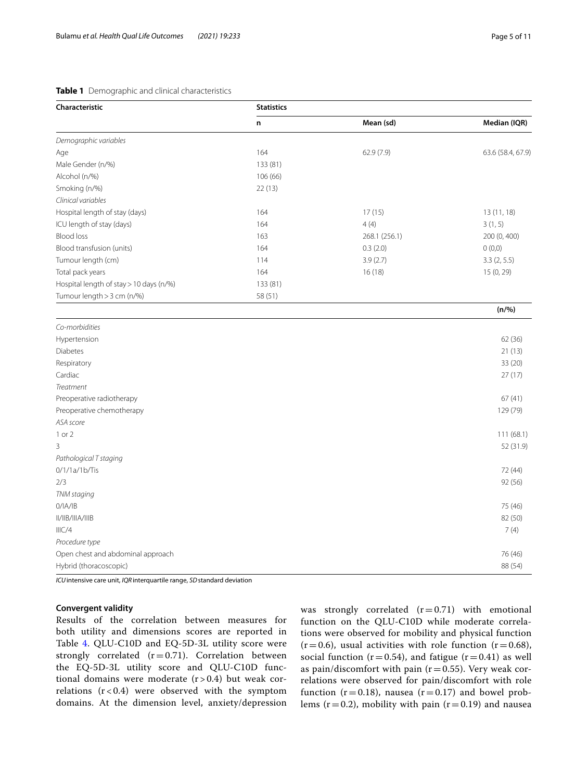# <span id="page-5-0"></span>**Table 1** Demographic and clinical characteristics

| Characteristic                          | <b>Statistics</b> |               |                   |  |  |  |  |
|-----------------------------------------|-------------------|---------------|-------------------|--|--|--|--|
|                                         | n                 | Mean (sd)     | Median (IQR)      |  |  |  |  |
| Demographic variables                   |                   |               |                   |  |  |  |  |
| Age                                     | 164               | 62.9(7.9)     | 63.6 (58.4, 67.9) |  |  |  |  |
| Male Gender (n/%)                       | 133 (81)          |               |                   |  |  |  |  |
| Alcohol (n/%)                           | 106 (66)          |               |                   |  |  |  |  |
| Smoking (n/%)                           | 22(13)            |               |                   |  |  |  |  |
| Clinical variables                      |                   |               |                   |  |  |  |  |
| Hospital length of stay (days)          | 164               | 17(15)        | 13(11, 18)        |  |  |  |  |
| ICU length of stay (days)               | 164               | 4(4)          | 3(1, 5)           |  |  |  |  |
| <b>Blood loss</b>                       | 163               | 268.1 (256.1) | 200 (0, 400)      |  |  |  |  |
| Blood transfusion (units)               | 164               | 0.3(2.0)      | 0(0,0)            |  |  |  |  |
| Tumour length (cm)                      | 114               | 3.9(2.7)      | 3.3(2, 5.5)       |  |  |  |  |
| Total pack years                        | 164               | 16(18)        | 15 (0, 29)        |  |  |  |  |
| Hospital length of stay > 10 days (n/%) | 133 (81)          |               |                   |  |  |  |  |
| Tumour length > 3 cm (n/%)              | 58 (51)           |               |                   |  |  |  |  |
|                                         |                   |               | (n/%)             |  |  |  |  |
| Co-morbidities                          |                   |               |                   |  |  |  |  |
| Hypertension                            |                   |               | 62 (36)           |  |  |  |  |
| <b>Diabetes</b>                         |                   |               | 21(13)            |  |  |  |  |
| $D$ ocpiratoru                          |                   |               | 22 (20)           |  |  |  |  |

| <b>Diabetes</b>                   | 21(13)    |
|-----------------------------------|-----------|
| Respiratory                       | 33 (20)   |
| Cardiac                           | 27(17)    |
| Treatment                         |           |
| Preoperative radiotherapy         | 67(41)    |
| Preoperative chemotherapy         | 129 (79)  |
| ASA score                         |           |
| 1 or 2                            | 111(68.1) |
| 3                                 | 52 (31.9) |
| Pathological T staging            |           |
| $0/1/1a/1b/T$ is                  | 72 (44)   |
| 2/3                               | 92 (56)   |
| TNM staging                       |           |
| 0/IA/IB                           | 75 (46)   |
| II/IIB/IIIA/IIIB                  | 82 (50)   |
| IIIC/4                            | 7(4)      |
| Procedure type                    |           |
| Open chest and abdominal approach | 76 (46)   |
| Hybrid (thoracoscopic)            | 88 (54)   |
|                                   |           |

*ICU*intensive care unit, *IQR*interquartile range, *SD*standard deviation

# **Convergent validity**

Results of the correlation between measures for both utility and dimensions scores are reported in Table [4.](#page-8-0) QLU-C10D and EQ-5D-3L utility score were strongly correlated  $(r=0.71)$ . Correlation between the EQ-5D-3L utility score and QLU-C10D functional domains were moderate  $(r > 0.4)$  but weak correlations  $(r < 0.4)$  were observed with the symptom domains. At the dimension level, anxiety/depression

was strongly correlated  $(r=0.71)$  with emotional function on the QLU-C10D while moderate correlations were observed for mobility and physical function  $(r=0.6)$ , usual activities with role function  $(r=0.68)$ , social function ( $r=0.54$ ), and fatigue ( $r=0.41$ ) as well as pain/discomfort with pain ( $r=0.55$ ). Very weak correlations were observed for pain/discomfort with role function ( $r=0.18$ ), nausea ( $r=0.17$ ) and bowel problems ( $r=0.2$ ), mobility with pain ( $r=0.19$ ) and nausea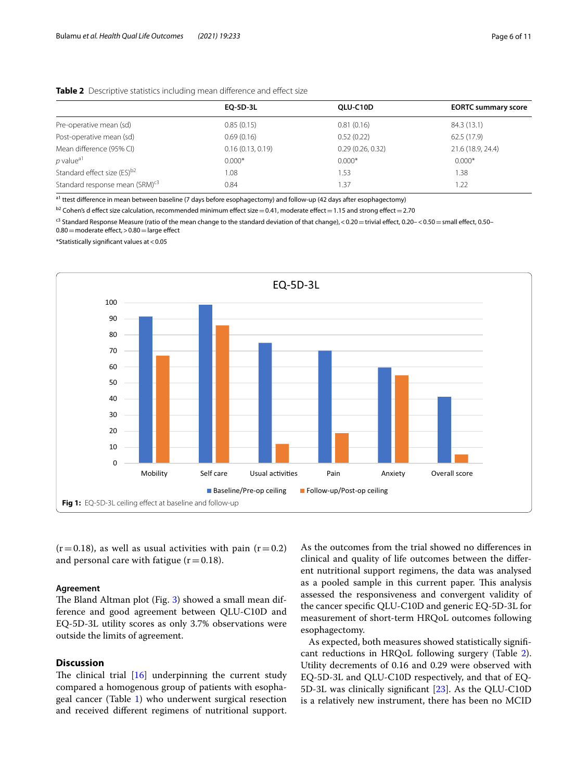# <span id="page-6-0"></span>**Table 2** Descriptive statistics including mean difference and effect size

| EO-5D-3L         | OLU-C10D         | <b>EORTC summary score</b> |
|------------------|------------------|----------------------------|
| 0.85(0.15)       | 0.81(0.16)       | 84.3 (13.1)                |
| 0.69(0.16)       | 0.52(0.22)       | 62.5 (17.9)                |
| 0.16(0.13, 0.19) | 0.29(0.26, 0.32) | 21.6 (18.9, 24.4)          |
| $0.000*$         | $0.000*$         | $0.000*$                   |
| 1.08             | .53              | 1.38                       |
| 0.84             | 1.37             | 1.22                       |
|                  |                  |                            |

 $\frac{a_1}{a_1}$  ttest difference in mean between baseline (7 days before esophagectomy) and follow-up (42 days after esophagectomy)

 $b2$  Cohen's d effect size calculation, recommended minimum effect size = 0.41, moderate effect = 1.15 and strong effect = 2.70

<sup>c3</sup> Standard Response Measure (ratio of the mean change to the standard deviation of that change), < 0.20 = trivial effect, 0.20 - < 0.50 = small effect, 0.50-

 $0.80$  = moderate effect,  $> 0.80$  = large effect

\*Statistically signifcant values at<0.05



<span id="page-6-1"></span> $(r=0.18)$ , as well as usual activities with pain  $(r=0.2)$ and personal care with fatigue  $(r=0.18)$ .

# **Agreement**

The Bland Altman plot (Fig.  $3$ ) showed a small mean difference and good agreement between QLU-C10D and EQ-5D-3L utility scores as only 3.7% observations were outside the limits of agreement.

# **Discussion**

The clinical trial  $[16]$  underpinning the current study compared a homogenous group of patients with esophageal cancer (Table [1](#page-5-0)) who underwent surgical resection and received diferent regimens of nutritional support.

As the outcomes from the trial showed no diferences in clinical and quality of life outcomes between the diferent nutritional support regimens, the data was analysed as a pooled sample in this current paper. This analysis assessed the responsiveness and convergent validity of the cancer specifc QLU-C10D and generic EQ-5D-3L for measurement of short-term HRQoL outcomes following esophagectomy.

As expected, both measures showed statistically signifcant reductions in HRQoL following surgery (Table [2](#page-6-0)). Utility decrements of 0.16 and 0.29 were observed with EQ-5D-3L and QLU-C10D respectively, and that of EQ-5D-3L was clinically signifcant [[23](#page-11-9)]. As the QLU-C10D is a relatively new instrument, there has been no MCID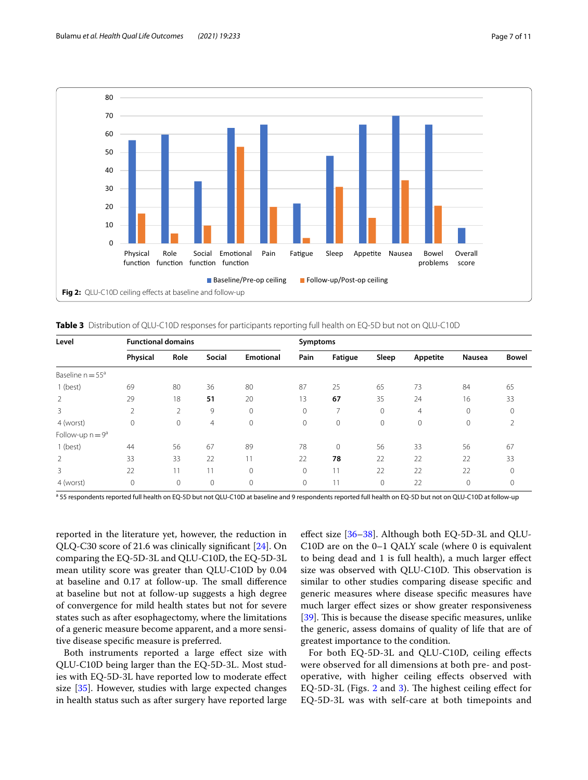

<span id="page-7-1"></span><span id="page-7-0"></span>**Table 3** Distribution of QLU-C10D responses for participants reporting full health on EQ-5D but not on QLU-C10D

| Level               | <b>Functional domains</b> |              |                |                  | Symptoms |                |             |                |                |              |
|---------------------|---------------------------|--------------|----------------|------------------|----------|----------------|-------------|----------------|----------------|--------------|
|                     | Physical                  | Role         | Social         | <b>Emotional</b> | Pain     | Fatigue        | Sleep       | Appetite       | <b>Nausea</b>  | <b>Bowel</b> |
| Baseline $n = 55^a$ |                           |              |                |                  |          |                |             |                |                |              |
| 1 (best)            | 69                        | 80           | 36             | 80               | 87       | 25             | 65          | 73             | 84             | 65           |
| 2                   | 29                        | 18           | 51             | 20               | 13       | 67             | 35          | 24             | 16             | 33           |
| 3                   | 2                         | 2            | 9              | $\mathbf{0}$     | 0        | $\overline{ }$ | $\Omega$    | $\overline{4}$ | $\Omega$       | 0            |
| 4 (worst)           | 0                         | $\mathbf{0}$ | $\overline{4}$ | $\mathbf{0}$     | 0        | 0              | $\Omega$    | $\mathbf{0}$   | $\Omega$       | 2            |
| Follow-up $n = 9^a$ |                           |              |                |                  |          |                |             |                |                |              |
| 1 (best)            | 44                        | 56           | 67             | 89               | 78       | $\mathbf{0}$   | 56          | 33             | 56             | 67           |
| 2                   | 33                        | 33           | 22             | 11               | 22       | 78             | 22          | 22             | 22             | 33           |
| 3                   | 22                        | 11           | 11             | $\mathbf{0}$     | $\Omega$ | 11             | 22          | 22             | 22             | $\Omega$     |
| 4 (worst)           | 0                         | 0            | 0              | $\mathbf{0}$     | 0        | 11             | $\mathbf 0$ | 22             | $\overline{0}$ | 0            |

<sup>a</sup> 55 respondents reported full health on EQ-5D but not QLU-C10D at baseline and 9 respondents reported full health on EQ-5D but not on QLU-C10D at follow-up

reported in the literature yet, however, the reduction in QLQ-C30 score of 21.6 was clinically signifcant [[24](#page-11-10)]. On comparing the EQ-5D-3L and QLU-C10D, the EQ-5D-3L mean utility score was greater than QLU-C10D by 0.04 at baseline and 0.17 at follow-up. The small difference at baseline but not at follow-up suggests a high degree of convergence for mild health states but not for severe states such as after esophagectomy, where the limitations of a generic measure become apparent, and a more sensitive disease specifc measure is preferred.

Both instruments reported a large effect size with QLU-C10D being larger than the EQ-5D-3L. Most studies with EQ-5D-3L have reported low to moderate efect size [[35\]](#page-11-21). However, studies with large expected changes in health status such as after surgery have reported large efect size [\[36–](#page-11-22)[38\]](#page-11-23). Although both EQ-5D-3L and QLU-C10D are on the 0–1 QALY scale (where 0 is equivalent to being dead and 1 is full health), a much larger efect size was observed with QLU-C10D. This observation is similar to other studies comparing disease specifc and generic measures where disease specifc measures have much larger efect sizes or show greater responsiveness [[39\]](#page-11-24). This is because the disease specific measures, unlike the generic, assess domains of quality of life that are of greatest importance to the condition.

For both EQ-5D-3L and QLU-C10D, ceiling efects were observed for all dimensions at both pre- and postoperative, with higher ceiling efects observed with EQ-5D-3L (Figs.  $2$  and  $3$ ). The highest ceiling effect for EQ-5D-3L was with self-care at both timepoints and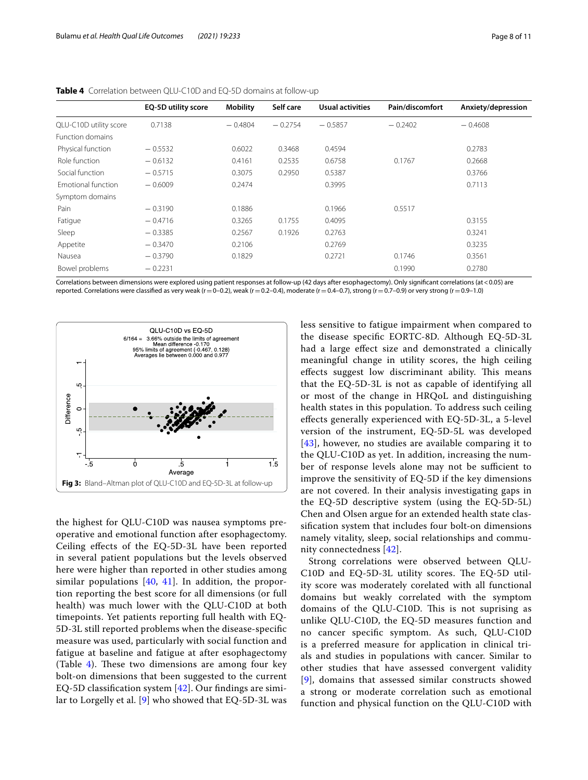|                           | <b>EQ-5D utility score</b> | <b>Mobility</b> | Self care | <b>Usual activities</b> | Pain/discomfort | Anxiety/depression |
|---------------------------|----------------------------|-----------------|-----------|-------------------------|-----------------|--------------------|
| QLU-C10D utility score    | 0.7138                     | $-0.4804$       | $-0.2754$ | $-0.5857$               | $-0.2402$       | $-0.4608$          |
| Function domains          |                            |                 |           |                         |                 |                    |
| Physical function         | $-0.5532$                  | 0.6022          | 0.3468    | 0.4594                  |                 | 0.2783             |
| Role function             | $-0.6132$                  | 0.4161          | 0.2535    | 0.6758                  | 0.1767          | 0.2668             |
| Social function           | $-0.5715$                  | 0.3075          | 0.2950    | 0.5387                  |                 | 0.3766             |
| <b>Emotional function</b> | $-0.6009$                  | 0.2474          |           | 0.3995                  |                 | 0.7113             |
| Symptom domains           |                            |                 |           |                         |                 |                    |
| Pain                      | $-0.3190$                  | 0.1886          |           | 0.1966                  | 0.5517          |                    |
| Fatigue                   | $-0.4716$                  | 0.3265          | 0.1755    | 0.4095                  |                 | 0.3155             |
| Sleep                     | $-0.3385$                  | 0.2567          | 0.1926    | 0.2763                  |                 | 0.3241             |
| Appetite                  | $-0.3470$                  | 0.2106          |           | 0.2769                  |                 | 0.3235             |
| Nausea                    | $-0.3790$                  | 0.1829          |           | 0.2721                  | 0.1746          | 0.3561             |
| Bowel problems            | $-0.2231$                  |                 |           |                         | 0.1990          | 0.2780             |

<span id="page-8-0"></span>

|  |  |  |  | <b>Table 4</b> Correlation between QLU-C10D and EQ-5D domains at follow-up |
|--|--|--|--|----------------------------------------------------------------------------|
|--|--|--|--|----------------------------------------------------------------------------|

Correlations between dimensions were explored using patient responses at follow-up (42 days after esophagectomy). Only signifcant correlations (at<0.05) are reported. Correlations were classified as very weak (r = 0-0.2), weak (r = 0.2–0.4), moderate (r = 0.4–0.7), strong (r = 0.7–0.9) or very strong (r = 0.9–1.0)



<span id="page-8-1"></span>the highest for QLU-C10D was nausea symptoms preoperative and emotional function after esophagectomy. Ceiling efects of the EQ-5D-3L have been reported in several patient populations but the levels observed here were higher than reported in other studies among similar populations [[40,](#page-11-25) [41\]](#page-11-26). In addition, the proportion reporting the best score for all dimensions (or full health) was much lower with the QLU-C10D at both timepoints. Yet patients reporting full health with EQ-5D-3L still reported problems when the disease-specifc measure was used, particularly with social function and fatigue at baseline and fatigue at after esophagectomy (Table  $4$ ). These two dimensions are among four key bolt-on dimensions that been suggested to the current EQ-5D classifcation system [[42](#page-11-27)]. Our fndings are similar to Lorgelly et al. [[9\]](#page-10-8) who showed that EQ-5D-3L was less sensitive to fatigue impairment when compared to the disease specifc EORTC-8D. Although EQ-5D-3L had a large efect size and demonstrated a clinically meaningful change in utility scores, the high ceiling effects suggest low discriminant ability. This means that the EQ-5D-3L is not as capable of identifying all or most of the change in HRQoL and distinguishing health states in this population. To address such ceiling efects generally experienced with EQ-5D-3L, a 5-level version of the instrument, EQ-5D-5L was developed [[43](#page-11-28)], however, no studies are available comparing it to the QLU-C10D as yet. In addition, increasing the number of response levels alone may not be sufficient to improve the sensitivity of EQ-5D if the key dimensions are not covered. In their analysis investigating gaps in the EQ-5D descriptive system (using the EQ-5D-5L) Chen and Olsen argue for an extended health state classifcation system that includes four bolt-on dimensions namely vitality, sleep, social relationships and community connectedness [\[42](#page-11-27)].

Strong correlations were observed between QLU-C10D and EQ-5D-3L utility scores. The EQ-5D utility score was moderately corelated with all functional domains but weakly correlated with the symptom domains of the QLU-C10D. This is not suprising as unlike QLU-C10D, the EQ-5D measures function and no cancer specifc symptom. As such, QLU-C10D is a preferred measure for application in clinical trials and studies in populations with cancer. Similar to other studies that have assessed convergent validity [[9](#page-10-8)], domains that assessed similar constructs showed a strong or moderate correlation such as emotional function and physical function on the QLU-C10D with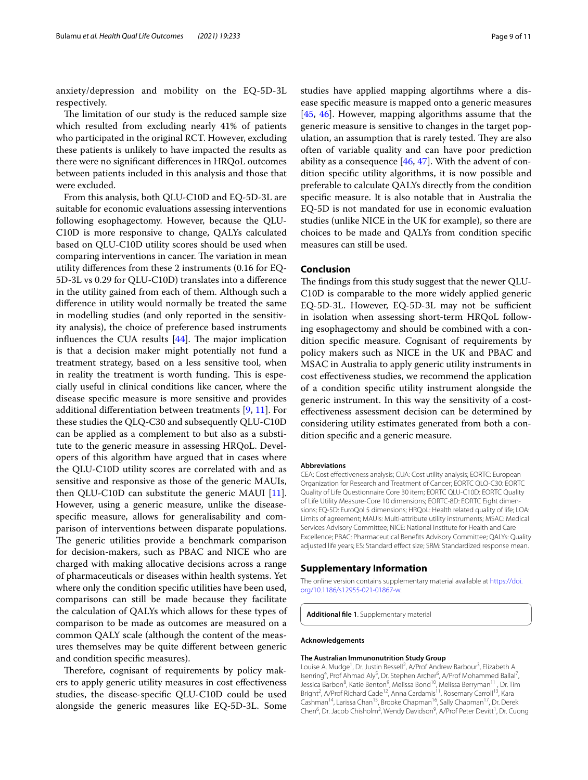anxiety/depression and mobility on the EQ-5D-3L respectively.

The limitation of our study is the reduced sample size which resulted from excluding nearly 41% of patients who participated in the original RCT. However, excluding these patients is unlikely to have impacted the results as there were no signifcant diferences in HRQoL outcomes between patients included in this analysis and those that were excluded.

From this analysis, both QLU-C10D and EQ-5D-3L are suitable for economic evaluations assessing interventions following esophagectomy. However, because the QLU-C10D is more responsive to change, QALYs calculated based on QLU-C10D utility scores should be used when comparing interventions in cancer. The variation in mean utility diferences from these 2 instruments (0.16 for EQ-5D-3L vs 0.29 for QLU-C10D) translates into a diference in the utility gained from each of them. Although such a diference in utility would normally be treated the same in modelling studies (and only reported in the sensitivity analysis), the choice of preference based instruments influences the CUA results  $[44]$  $[44]$ . The major implication is that a decision maker might potentially not fund a treatment strategy, based on a less sensitive tool, when in reality the treatment is worth funding. This is especially useful in clinical conditions like cancer, where the disease specifc measure is more sensitive and provides additional diferentiation between treatments [[9,](#page-10-8) [11\]](#page-10-10). For these studies the QLQ-C30 and subsequently QLU-C10D can be applied as a complement to but also as a substitute to the generic measure in assessing HRQoL. Developers of this algorithm have argued that in cases where the QLU-C10D utility scores are correlated with and as sensitive and responsive as those of the generic MAUIs, then QLU-C10D can substitute the generic MAUI [\[11](#page-10-10)]. However, using a generic measure, unlike the diseasespecifc measure, allows for generalisability and comparison of interventions between disparate populations. The generic utilities provide a benchmark comparison for decision-makers, such as PBAC and NICE who are charged with making allocative decisions across a range of pharmaceuticals or diseases within health systems. Yet where only the condition specifc utilities have been used, comparisons can still be made because they facilitate the calculation of QALYs which allows for these types of comparison to be made as outcomes are measured on a common QALY scale (although the content of the measures themselves may be quite diferent between generic and condition specifc measures).

Therefore, cognisant of requirements by policy makers to apply generic utility measures in cost efectiveness studies, the disease-specifc QLU-C10D could be used alongside the generic measures like EQ-5D-3L. Some studies have applied mapping algortihms where a disease specifc measure is mapped onto a generic measures [[45,](#page-11-30) [46](#page-11-31)]. However, mapping algorithms assume that the generic measure is sensitive to changes in the target population, an assumption that is rarely tested. They are also often of variable quality and can have poor prediction ability as a consequence  $[46, 47]$  $[46, 47]$  $[46, 47]$ . With the advent of condition specifc utility algorithms, it is now possible and preferable to calculate QALYs directly from the condition specifc measure. It is also notable that in Australia the EQ-5D is not mandated for use in economic evaluation studies (unlike NICE in the UK for example), so there are choices to be made and QALYs from condition specifc measures can still be used.

# **Conclusion**

The findings from this study suggest that the newer QLU-C10D is comparable to the more widely applied generic EQ-5D-3L. However, EQ-5D-3L may not be sufficient in isolation when assessing short-term HRQoL following esophagectomy and should be combined with a condition specifc measure. Cognisant of requirements by policy makers such as NICE in the UK and PBAC and MSAC in Australia to apply generic utility instruments in cost efectiveness studies, we recommend the application of a condition specifc utility instrument alongside the generic instrument. In this way the sensitivity of a costefectiveness assessment decision can be determined by considering utility estimates generated from both a condition specifc and a generic measure.

## **Abbreviations**

CEA: Cost efectiveness analysis; CUA: Cost utility analysis; EORTC: European Organization for Research and Treatment of Cancer; EORTC QLQ-C30: EORTC Quality of Life Questionnaire Core 30 item; EORTC QLU-C10D: EORTC Quality of Life Utility Measure-Core 10 dimensions; EORTC-8D: EORTC Eight dimensions: EQ-5D: EuroQol 5 dimensions: HRQoL: Health related quality of life; LQA: Limits of agreement; MAUIs: Multi-attribute utility instruments; MSAC: Medical Services Advisory Committee; NICE: National Institute for Health and Care Excellence; PBAC: Pharmaceutical Benefts Advisory Committee; QALYs: Quality adjusted life years; ES: Standard efect size; SRM: Standardized response mean.

# **Supplementary Information**

The online version contains supplementary material available at [https://doi.](https://doi.org/10.1186/s12955-021-01867-w) [org/10.1186/s12955-021-01867-w.](https://doi.org/10.1186/s12955-021-01867-w)

<span id="page-9-0"></span>**Additional fle 1**. Supplementary material

### **Acknowledgements**

# **The Australian Immunonutrition Study Group**

Louise A. Mudge<sup>1</sup>, Dr. Justin Bessell<sup>2</sup>, A/Prof Andrew Barbour<sup>3</sup>, Elizabeth A. Isenring<sup>4</sup>, Prof Ahmad Aly<sup>5</sup>, Dr. Stephen Archer<sup>6</sup>, A/Prof Mohammed Ballal<sup>7</sup>, Jessica Barbon<sup>8</sup>, Katie Benton<sup>9</sup>, Melissa Bond<sup>10</sup>, Melissa Berryman<sup>11</sup>, Dr. Tim Bright<sup>2</sup>, A/Prof Richard Cade<sup>12</sup>, Anna Cardamis<sup>11</sup>, Rosemary Carroll<sup>13</sup>, Kara Cashman14, Larissa Chan15, Brooke Chapman16, Sally Chapman17, Dr. Derek Chen<sup>6</sup>, Dr. Jacob Chisholm<sup>2</sup>, Wendy Davidson<sup>9</sup>, A/Prof Peter Devitt<sup>1</sup>, Dr. Cuong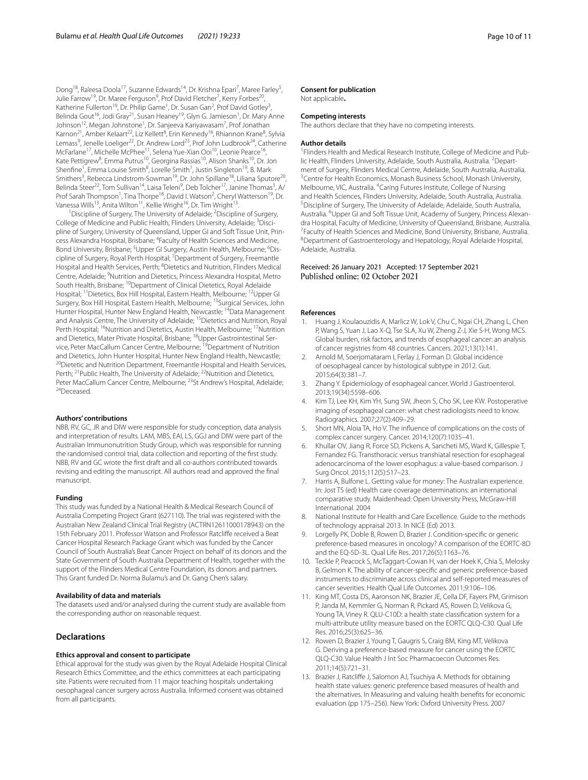Dong<sup>18</sup>, Ra'eesa Doola<sup>17</sup>, Suzanne Edwards<sup>14</sup>, Dr. Krishna Epari<sup>7</sup>, Maree Farley<sup>5</sup>, Julie Farrow<sup>19</sup>, Dr. Maree Ferguson<sup>9</sup>, Prof David Fletcher<sup>7</sup>, Kerry Forbes<sup>20</sup>, Katherine Fullerton<sup>19</sup>, Dr. Philip Game<sup>1</sup>, Dr. Susan Gan<sup>2</sup>, Prof David Gotley<sup>3</sup>, Belinda Gout<sup>16</sup>, Jodi Gray<sup>21</sup>, Susan Heaney<sup>19</sup>, Glyn G. Jamieson<sup>1</sup>, Dr. Mary Anne Johnson<sup>12</sup>, Megan Johnstone<sup>1</sup>, Dr. Sanjeeva Kariyawasam<sup>7</sup>, Prof Jonathan Karnon<sup>21</sup>, Amber Kelaart<sup>22</sup>, Liz Kellett<sup>8</sup>, Erin Kennedy<sup>16</sup>, Rhiannon Krane<sup>8</sup>, Sylvia Lemass<sup>9</sup>, Jenelle Loeliger<sup>22</sup>, Dr. Andrew Lord<sup>23</sup>, Prof John Ludbrook<sup>24</sup>, Catherine McFarlane<sup>17</sup>, Michelle McPhee<sup>11</sup>, Selena Yue-Xian Ooi<sup>10</sup>, Leonie Pearce<sup>16</sup>, Kate Pettigrew<sup>8</sup>, Emma Putrus<sup>10</sup>, Georgina Rassias<sup>10</sup>, Alison Shanks<sup>10</sup>, Dr. Jon Shenfine<sup>1</sup>, Emma Louise Smith<sup>8</sup>, Lorelle Smith<sup>1</sup>, Justin Singleton<sup>19</sup>, B. Mark Smithers<sup>3</sup>, Rebecca Lindstrom-Sowman<sup>19</sup>, Dr. John Spillane<sup>18</sup>, Liliana Sputore<sup>20</sup>, Belinda Steer<sup>22</sup>, Tom Sullivan<sup>14</sup>, Laisa Teleni<sup>9</sup>, Deb Tolcher<sup>17</sup>, Janine Thomas<sup>3</sup>, A/ Prof Sarah Thompson<sup>1</sup>, Tina Thorpe<sup>18</sup>, David I. Watson<sup>2</sup>, Cheryl Watterson<sup>19</sup>, Dr. Vanessa Wills<sup>13</sup>, Anita Wilton<sup>11</sup>, Kellie Wright<sup>16</sup>, Dr. Tim Wright<sup>13</sup>.

<sup>1</sup> Discipline of Surgery, The University of Adelaide; <sup>2</sup> Discipline of Surgery, College of Medicine and Public Health, Flinders University, Adelaide; <sup>3</sup>Discipline of Surgery, University of Queensland, Upper GI and Soft Tissue Unit, Princess Alexandra Hospital, Brisbane; <sup>4</sup>Faculty of Health Sciences and Medicine, Bond University, Brisbane; <sup>5</sup>Upper GI Surgery, Austin Health, Melbourne; <sup>6</sup>Discipline of Surgery, Royal Perth Hospital; <sup>7</sup>Department of Surgery, Freemantle Hospital and Health Services, Perth; <sup>8</sup>Dietetics and Nutrition, Flinders Medical Centre, Adelaide; <sup>9</sup>Nutrition and Dietetics, Princess Alexandra Hospital, Metro South Health, Brisbane; <sup>10</sup>Department of Clinical Dietetics, Royal Adelaide Hospital; <sup>11</sup>Dietetics, Box Hill Hospital, Eastern Health, Melbourne; <sup>12</sup>Upper GI Surgery, Box Hill Hospital, Eastern Health, Melbourne; <sup>13</sup>Surgical Services, John Hunter Hospital, Hunter New England Health, Newcastle; <sup>14</sup>Data Management and Analysis Centre, The University of Adelaide; 15Dietetics and Nutrition, Royal Perth Hospital; <sup>16</sup>Nutrition and Dietetics, Austin Health, Melbourne; <sup>17</sup>Nutrition and Dietetics, Mater Private Hospital, Brisbane; <sup>18</sup>Upper Gastrointestinal Service, Peter MacCallum Cancer Centre, Melbourne; <sup>19</sup>Department of Nutrition and Dietetics, John Hunter Hospital, Hunter New England Health, Newcastle; <sup>20</sup>Dietetic and Nutrition Department, Freemantle Hospital and Health Services, Perth; <sup>21</sup> Public Health, The University of Adelaide; <sup>22</sup> Nutrition and Dietetics, Peter MacCallum Cancer Centre, Melbourne; <sup>23</sup>St Andrew's Hospital, Adelaide;<br><sup>24</sup>Deceased

# **Authors' contributions**

NBB, RV, GC, JR and DIW were responsible for study conception, data analysis and interpretation of results. LAM, MBS, EAI, LS, GGJ and DIW were part of the Australian Immunonutrition Study Group, which was responsible for running the randomised control trial, data collection and reporting of the frst study. NBB, RV and GC wrote the frst draft and all co-authors contributed towards revising and editing the manuscript. All authors read and approved the fnal manuscript.

#### **Funding**

This study was funded by a National Health & Medical Research Council of Australia Competing Project Grant (627110). The trial was registered with the Australian New Zealand Clinical Trial Registry (ACTRN12611000178943) on the 15th February 2011. Professor Watson and Professor Ratclife received a Beat Cancer Hospital Research Package Grant which was funded by the Cancer Council of South Australia's Beat Cancer Project on behalf of its donors and the State Government of South Australia Department of Health, together with the support of the Flinders Medical Centre Foundation, its donors and partners. This Grant funded Dr. Norma Bulamu's and Dr. Gang Chen's salary.

# **Availability of data and materials**

The datasets used and/or analysed during the current study are available from the corresponding author on reasonable request.

# **Declarations**

#### **Ethics approval and consent to participate**

Ethical approval for the study was given by the Royal Adelaide Hospital Clinical Research Ethics Committee, and the ethics committees at each participating site. Patients were recruited from 11 major teaching hospitals undertaking oesophageal cancer surgery across Australia. Informed consent was obtained from all participants.

# **Consent for publication**

Not applicable**.**

# **Competing interests**

The authors declare that they have no competing interests.

#### **Author details**

<sup>1</sup> Flinders Health and Medical Research Institute, College of Medicine and Public Health, Flinders University, Adelaide, South Australia, Australia. <sup>2</sup> Department of Surgery, Flinders Medical Centre, Adelaide, South Australia, Australia. 3 <sup>3</sup> Centre for Health Economics, Monash Business School, Monash University, Melbourne, VIC, Australia. <sup>4</sup>Caring Futures Institute, College of Nursing and Health Sciences, Flinders University, Adelaide, South Australia, Australia. 5 Discipline of Surgery, The University of Adelaide, Adelaide, South Australia, Australia. <sup>6</sup> Upper GI and Soft Tissue Unit, Academy of Surgery, Princess Alexandra Hospital, Faculty of Medicine, University of Queensland, Brisbane, Australia. 7 <sup>7</sup> Faculty of Health Sciences and Medicine, Bond University, Brisbane, Australia. Department of Gastroenterology and Hepatology, Royal Adelaide Hospital, Adelaide, Australia.

# Received: 26 January 2021 Accepted: 17 September 2021

# **References**

- <span id="page-10-0"></span>Huang J, Koulaouzidis A, Marlicz W, Lok V, Chu C, Ngai CH, Zhang L, Chen P, Wang S, Yuan J, Lao X-Q, Tse SLA, Xu W, Zheng Z-J, Xie S-H, Wong MCS. Global burden, risk factors, and trends of esophageal cancer: an analysis of cancer registries from 48 countries. Cancers. 2021;13(1):141.
- <span id="page-10-1"></span>2. Arnold M, Soerjomataram I, Ferlay J, Forman D. Global incidence of oesophageal cancer by histological subtype in 2012. Gut. 2015;64(3):381–7.
- <span id="page-10-2"></span>3. Zhang Y. Epidemiology of esophageal cancer. World J Gastroenterol. 2013;19(34):5598–606.
- <span id="page-10-3"></span>4. Kim TJ, Lee KH, Kim YH, Sung SW, Jheon S, Cho SK, Lee KW. Postoperative imaging of esophageal cancer: what chest radiologists need to know. Radiographics. 2007;27(2):409–29.
- <span id="page-10-4"></span>5. Short MN, Aloia TA, Ho V. The infuence of complications on the costs of complex cancer surgery. Cancer. 2014;120(7):1035–41.
- <span id="page-10-5"></span>6. Khullar OV, Jiang R, Force SD, Pickens A, Sancheti MS, Ward K, Gillespie T, Fernandez FG. Transthoracic versus transhiatal resection for esophageal adenocarcinoma of the lower esophagus: a value-based comparison. J Surg Oncol. 2015;112(5):517–23.
- <span id="page-10-6"></span>7. Harris A, Bulfone L. Getting value for money: The Australian experience. In: Jost TS (ed) Health care coverage determinations: an international comparative study. Maidenhead: Open University Press, McGraw-Hill International. 2004
- <span id="page-10-7"></span>National Institute for Health and Care Excellence. Guide to the methods of technology appraisal 2013. In NICE (Ed) 2013.
- <span id="page-10-8"></span>Lorgelly PK, Doble B, Rowen D, Brazier J. Condition-specific or generic preference-based measures in oncology? A comparison of the EORTC-8D and the EQ-5D-3L. Qual Life Res. 2017;26(5):1163–76.
- <span id="page-10-9"></span>10. Teckle P, Peacock S, McTaggart-Cowan H, van der Hoek K, Chia S, Melosky B, Gelmon K. The ability of cancer-specifc and generic preference-based instruments to discriminate across clinical and self-reported measures of cancer severities. Health Qual Life Outcomes. 2011;9:106–106.
- <span id="page-10-10"></span>11. King MT, Costa DS, Aaronson NK, Brazier JE, Cella DF, Fayers PM, Grimison P, Janda M, Kemmler G, Norman R, Pickard AS, Rowen D, Velikova G, Young TA, Viney R. QLU-C10D: a health state classifcation system for a multi-attribute utility measure based on the EORTC QLQ-C30. Qual Life Res. 2016;25(3):625–36.
- <span id="page-10-11"></span>12. Rowen D, Brazier J, Young T, Gaugris S, Craig BM, King MT, Velikova G. Deriving a preference-based measure for cancer using the EORTC QLQ-C30. Value Health J Int Soc Pharmacoecon Outcomes Res. 2011;14(5):721–31.
- <span id="page-10-12"></span>13. Brazier J, Ratclife J, Salomon AJ, Tsuchiya A. Methods for obtaining health state values: generic preference based measures of health and the alternatives. In Measuring and valuing health benefts for economic evaluation (pp 175–256). New York: Oxford University Press. 2007